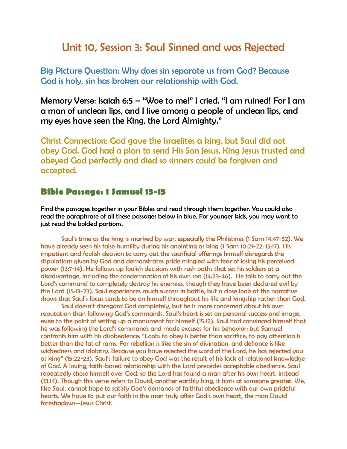## Unit 10, Session 3: Saul Sinned and was Rejected

Big Picture Question: Why does sin separate us from God? Because God is holy, sin has broken our relationship with God.

Memory Verse: Isaiah 6:5 – "Woe to me!" I cried. "I am ruined! For I am a man of unclean lips, and I live among a people of unclean lips, and my eyes have seen the King, the Lord Almighty."

Christ Connection: God gave the Israelites a king, but Saul did not obey God. God had a plan to send His Son Jesus. King Jesus trusted and obeyed God perfectly and died so sinners could be forgiven and accepted.

## **Bible Passage: 1 Samuel 13-15**

Find the passages together in your Bibles and read through them together. You could also read the paraphrase of all these passages below in blue. For younger kids, you may want to just read the bolded portions.

Saul's time as the king is marked by war, especially the Philistines (1 Sam 14:47-52). We have already seen his false humility during his anointing as king (1 Sam 10:21-22; 15:17). His impatient and foolish decision to carry out the sacrificial offerings himself disregards the stipulations given by God and demonstrates pride mingled with fear of losing his perceived power (13:7-14). He follows up foolish decisions with rash oaths that set his soldiers at a disadvantage, including the condemnation of his own son (14:23-46). He fails to carry out the Lord's command to completely destroy his enemies, though they have been declared evil by the Lord (15:13-23). Saul experiences much success in battle, but a close look at the narrative shows that Saul's focus tends to be on himself throughout his life and kingship rather than God.

Saul doesn't disregard God completely, but he is more concerned about his own reputation than following God's commands. Saul's heart is set on personal success and image, even to the point of setting up a monument for himself (15:12). Saul had convinced himself that he was following the Lord's commands and made excuses for his behavior; but Samuel confronts him with his disobedience: "Look: to obey is better than sacrifice, to pay attention is better than the fat of rams. For rebellion is like the sin of divination, and defiance is like wickedness and idolatry. Because you have rejected the word of the Lord, he has rejected you as king" (15:22-23). Saul's failure to obey God was the result of his lack of relational knowledge of God. A loving, faith-based relationship with the Lord precedes acceptable obedience. Saul repeatedly chose himself over God, so the Lord has found a man after his own heart, instead (13:14). Though this verse refers to David, another earthly king, it hints at someone greater. We, like Saul, cannot hope to satisfy God's demands of faithful obedience with our own prideful hearts. We have to put our faith in the man truly after God's own heart, the man David foreshadows—Jesus Christ.